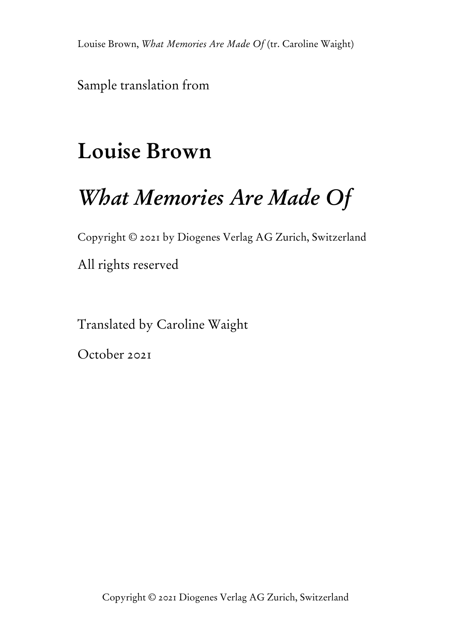Sample translation from

# **Louise Brown**

# *What Memories Are Made Of*

Copyright © 2021 by Diogenes Verlag AG Zurich, Switzerland

All rights reserved

Translated by Caroline Waight

October 2021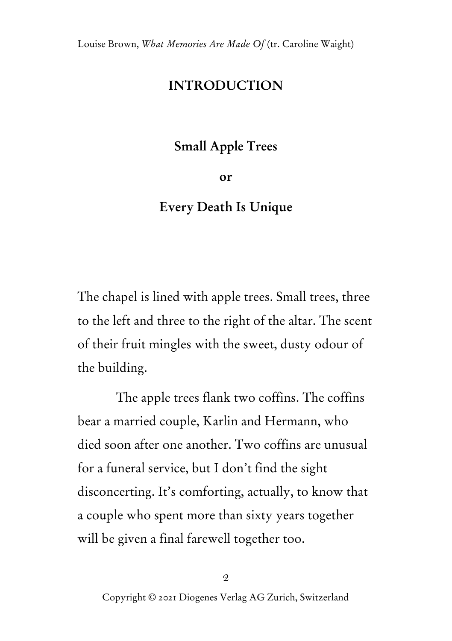## **INTRODUCTION**

## **Small Apple Trees**

**or**

## **Every Death Is Unique**

The chapel is lined with apple trees. Small trees, three to the left and three to the right of the altar. The scent of their fruit mingles with the sweet, dusty odour of the building.

The apple trees flank two coffins. The coffins bear a married couple, Karlin and Hermann, who died soon after one another. Two coffins are unusual for a funeral service, but I don't find the sight disconcerting. It's comforting, actually, to know that a couple who spent more than sixty years together will be given a final farewell together too.

2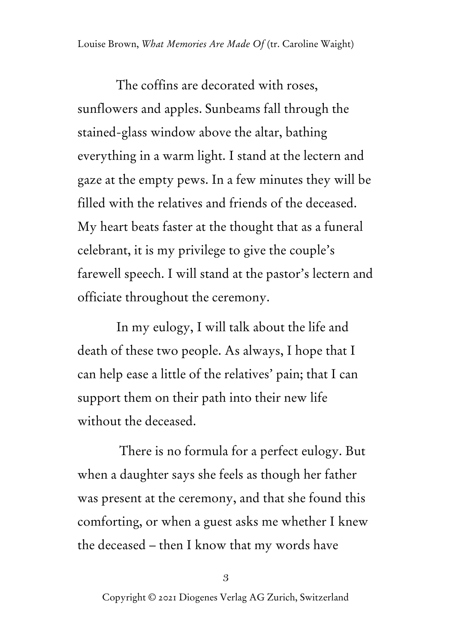The coffins are decorated with roses, sunflowers and apples. Sunbeams fall through the stained-glass window above the altar, bathing everything in a warm light. I stand at the lectern and gaze at the empty pews. In a few minutes they will be filled with the relatives and friends of the deceased. My heart beats faster at the thought that as a funeral celebrant, it is my privilege to give the couple's farewell speech. I will stand at the pastor's lectern and officiate throughout the ceremony.

In my eulogy, I will talk about the life and death of these two people. As always, I hope that I can help ease a little of the relatives' pain; that I can support them on their path into their new life without the deceased.

There is no formula for a perfect eulogy. But when a daughter says she feels as though her father was present at the ceremony, and that she found this comforting, or when a guest asks me whether I knew the deceased – then I know that my words have

3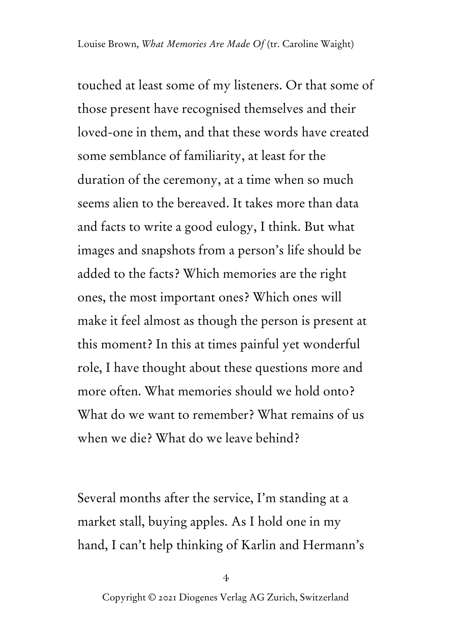touched at least some of my listeners. Or that some of those present have recognised themselves and their loved-one in them, and that these words have created some semblance of familiarity, at least for the duration of the ceremony, at a time when so much seems alien to the bereaved. It takes more than data and facts to write a good eulogy, I think. But what images and snapshots from a person's life should be added to the facts? Which memories are the right ones, the most important ones? Which ones will make it feel almost as though the person is present at this moment? In this at times painful yet wonderful role, I have thought about these questions more and more often. What memories should we hold onto? What do we want to remember? What remains of us when we die? What do we leave behind?

Several months after the service, I'm standing at a market stall, buying apples. As I hold one in my hand, I can't help thinking of Karlin and Hermann's

<sup>4</sup>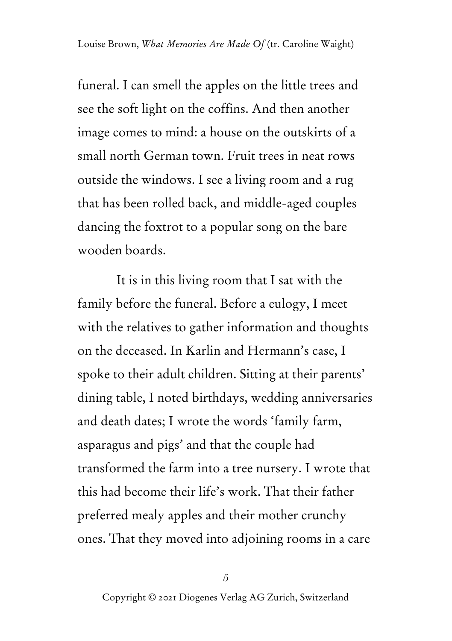funeral. I can smell the apples on the little trees and see the soft light on the coffins. And then another image comes to mind: a house on the outskirts of a small north German town. Fruit trees in neat rows outside the windows. I see a living room and a rug that has been rolled back, and middle-aged couples dancing the foxtrot to a popular song on the bare wooden boards.

It is in this living room that I sat with the family before the funeral. Before a eulogy, I meet with the relatives to gather information and thoughts on the deceased. In Karlin and Hermann's case, I spoke to their adult children. Sitting at their parents' dining table, I noted birthdays, wedding anniversaries and death dates; I wrote the words 'family farm, asparagus and pigs' and that the couple had transformed the farm into a tree nursery. I wrote that this had become their life's work. That their father preferred mealy apples and their mother crunchy ones. That they moved into adjoining rooms in a care

5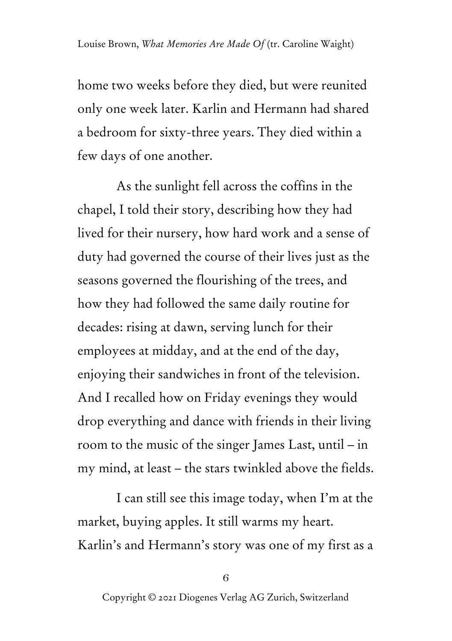home two weeks before they died, but were reunited only one week later. Karlin and Hermann had shared a bedroom for sixty-three years. They died within a few days of one another.

As the sunlight fell across the coffins in the chapel, I told their story, describing how they had lived for their nursery, how hard work and a sense of duty had governed the course of their lives just as the seasons governed the flourishing of the trees, and how they had followed the same daily routine for decades: rising at dawn, serving lunch for their employees at midday, and at the end of the day, enjoying their sandwiches in front of the television. And I recalled how on Friday evenings they would drop everything and dance with friends in their living room to the music of the singer James Last, until – in my mind, at least – the stars twinkled above the fields.

I can still see this image today, when I'm at the market, buying apples. It still warms my heart. Karlin's and Hermann's story was one of my first as a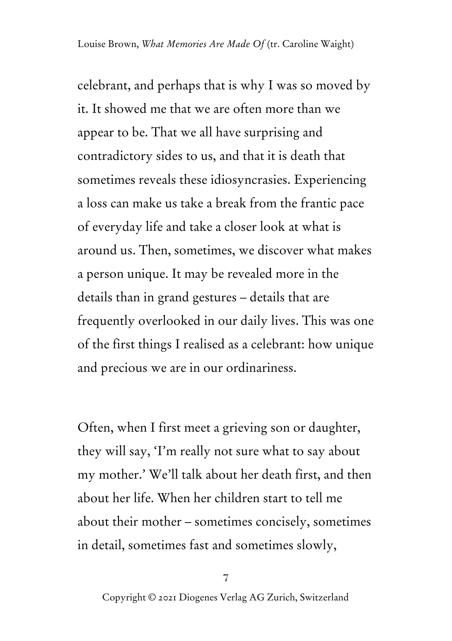celebrant, and perhaps that is why I was so moved by it. It showed me that we are often more than we appear to be. That we all have surprising and contradictory sides to us, and that it is death that sometimes reveals these idiosyncrasies. Experiencing a loss can make us take a break from the frantic pace of everyday life and take a closer look at what is around us. Then, sometimes, we discover what makes a person unique. It may be revealed more in the details than in grand gestures – details that are frequently overlooked in our daily lives. This was one of the first things I realised as a celebrant: how unique and precious we are in our ordinariness.

Often, when I first meet a grieving son or daughter, they will say, 'I'm really not sure what to say about my mother.' We'll talk about her death first, and then about her life. When her children start to tell me about their mother – sometimes concisely, sometimes in detail, sometimes fast and sometimes slowly,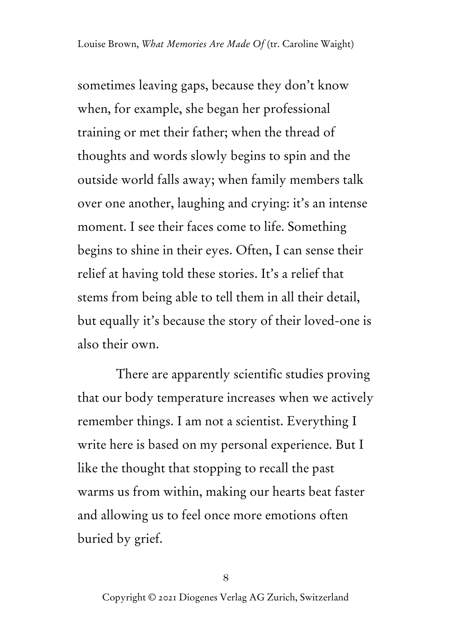sometimes leaving gaps, because they don't know when, for example, she began her professional training or met their father; when the thread of thoughts and words slowly begins to spin and the outside world falls away; when family members talk over one another, laughing and crying: it's an intense moment. I see their faces come to life. Something begins to shine in their eyes. Often, I can sense their relief at having told these stories. It's a relief that stems from being able to tell them in all their detail, but equally it's because the story of their loved-one is also their own.

There are apparently scientific studies proving that our body temperature increases when we actively remember things. I am not a scientist. Everything I write here is based on my personal experience. But I like the thought that stopping to recall the past warms us from within, making our hearts beat faster and allowing us to feel once more emotions often buried by grief.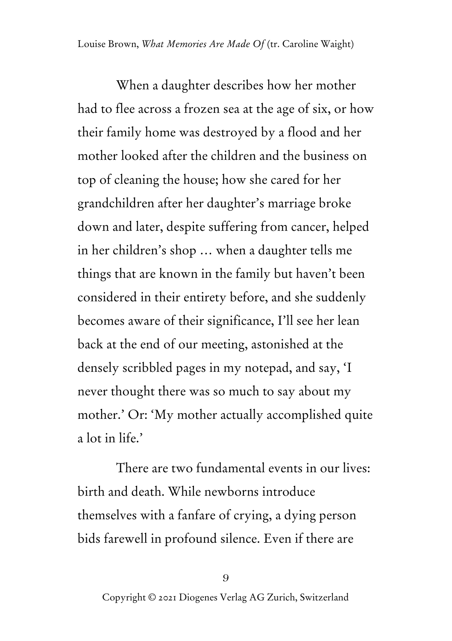When a daughter describes how her mother had to flee across a frozen sea at the age of six, or how their family home was destroyed by a flood and her mother looked after the children and the business on top of cleaning the house; how she cared for her grandchildren after her daughter's marriage broke down and later, despite suffering from cancer, helped in her children's shop … when a daughter tells me things that are known in the family but haven't been considered in their entirety before, and she suddenly becomes aware of their significance, I'll see her lean back at the end of our meeting, astonished at the densely scribbled pages in my notepad, and say, 'I never thought there was so much to say about my mother.' Or: 'My mother actually accomplished quite a lot in life.'

There are two fundamental events in our lives: birth and death. While newborns introduce themselves with a fanfare of crying, a dying person bids farewell in profound silence. Even if there are

9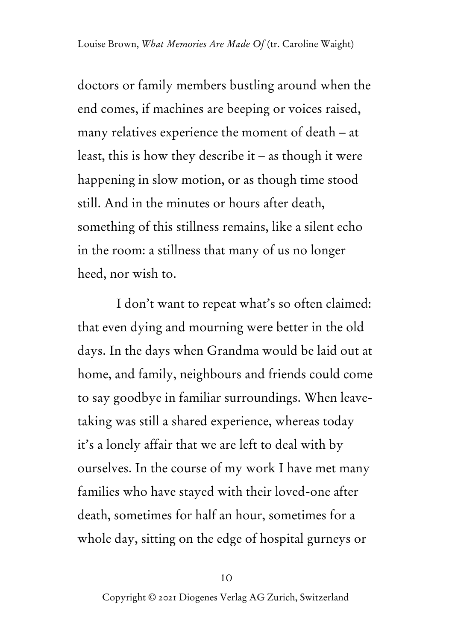doctors or family members bustling around when the end comes, if machines are beeping or voices raised, many relatives experience the moment of death – at least, this is how they describe it – as though it were happening in slow motion, or as though time stood still. And in the minutes or hours after death, something of this stillness remains, like a silent echo in the room: a stillness that many of us no longer heed, nor wish to.

I don't want to repeat what's so often claimed: that even dying and mourning were better in the old days. In the days when Grandma would be laid out at home, and family, neighbours and friends could come to say goodbye in familiar surroundings. When leavetaking was still a shared experience, whereas today it's a lonely affair that we are left to deal with by ourselves. In the course of my work I have met many families who have stayed with their loved-one after death, sometimes for half an hour, sometimes for a whole day, sitting on the edge of hospital gurneys or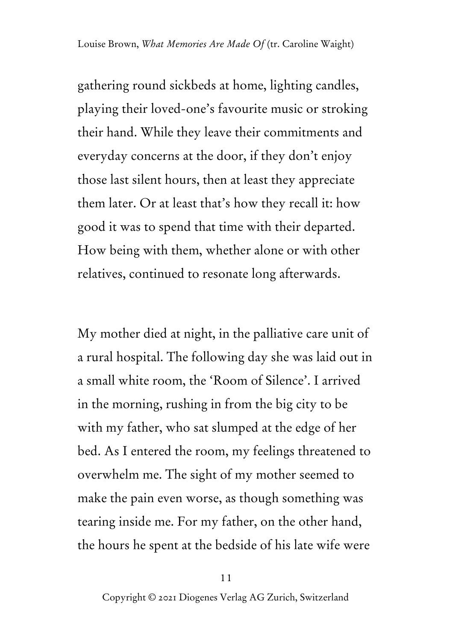gathering round sickbeds at home, lighting candles, playing their loved-one's favourite music or stroking their hand. While they leave their commitments and everyday concerns at the door, if they don't enjoy those last silent hours, then at least they appreciate them later. Or at least that's how they recall it: how good it was to spend that time with their departed. How being with them, whether alone or with other relatives, continued to resonate long afterwards.

My mother died at night, in the palliative care unit of a rural hospital. The following day she was laid out in a small white room, the 'Room of Silence'. I arrived in the morning, rushing in from the big city to be with my father, who sat slumped at the edge of her bed. As I entered the room, my feelings threatened to overwhelm me. The sight of my mother seemed to make the pain even worse, as though something was tearing inside me. For my father, on the other hand, the hours he spent at the bedside of his late wife were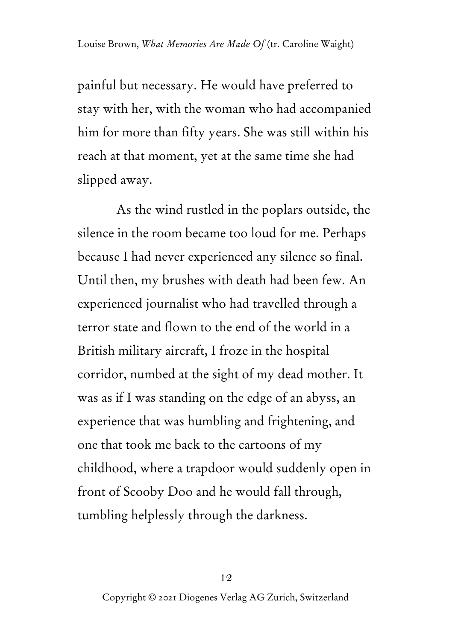painful but necessary. He would have preferred to stay with her, with the woman who had accompanied him for more than fifty years. She was still within his reach at that moment, yet at the same time she had slipped away.

As the wind rustled in the poplars outside, the silence in the room became too loud for me. Perhaps because I had never experienced any silence so final. Until then, my brushes with death had been few. An experienced journalist who had travelled through a terror state and flown to the end of the world in a British military aircraft, I froze in the hospital corridor, numbed at the sight of my dead mother. It was as if I was standing on the edge of an abyss, an experience that was humbling and frightening, and one that took me back to the cartoons of my childhood, where a trapdoor would suddenly open in front of Scooby Doo and he would fall through, tumbling helplessly through the darkness.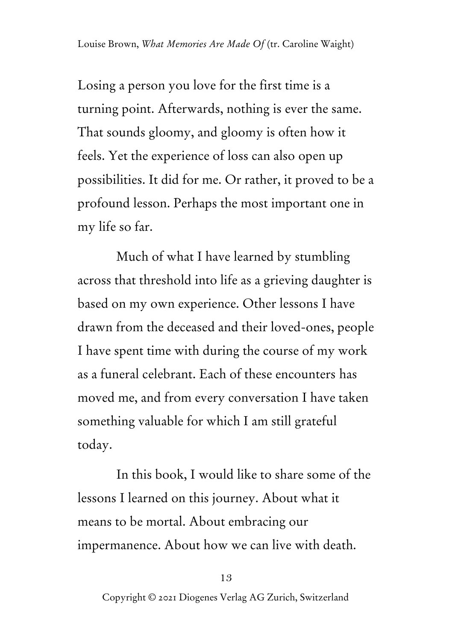Losing a person you love for the first time is a turning point. Afterwards, nothing is ever the same. That sounds gloomy, and gloomy is often how it feels. Yet the experience of loss can also open up possibilities. It did for me. Or rather, it proved to be a profound lesson. Perhaps the most important one in my life so far.

Much of what I have learned by stumbling across that threshold into life as a grieving daughter is based on my own experience. Other lessons I have drawn from the deceased and their loved-ones, people I have spent time with during the course of my work as a funeral celebrant. Each of these encounters has moved me, and from every conversation I have taken something valuable for which I am still grateful today.

In this book, I would like to share some of the lessons I learned on this journey. About what it means to be mortal. About embracing our impermanence. About how we can live with death.

#### 13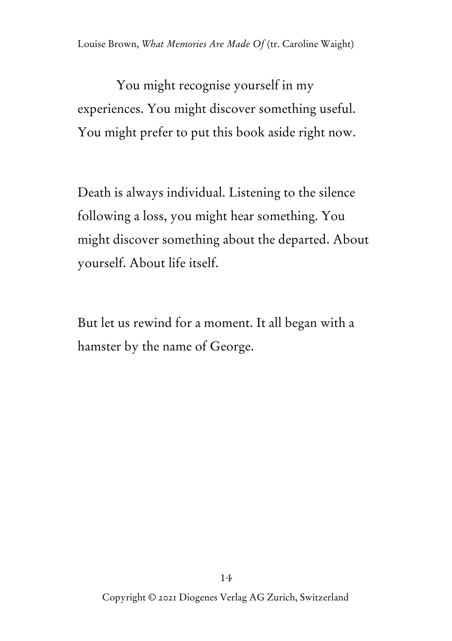You might recognise yourself in my experiences. You might discover something useful. You might prefer to put this book aside right now.

Death is always individual. Listening to the silence following a loss, you might hear something. You might discover something about the departed. About yourself. About life itself.

But let us rewind for a moment. It all began with a hamster by the name of George.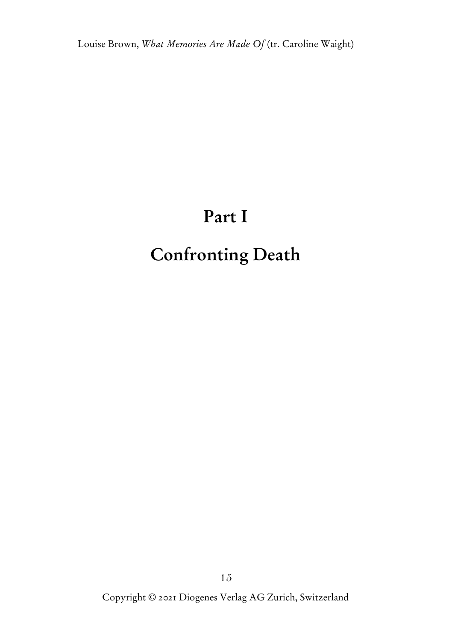## **Part I**

## **Confronting Death**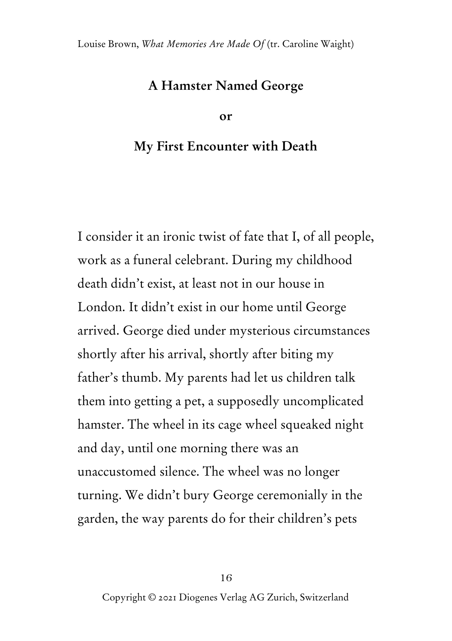## **A Hamster Named George**

**or**

### **My First Encounter with Death**

I consider it an ironic twist of fate that I, of all people, work as a funeral celebrant. During my childhood death didn't exist, at least not in our house in London. It didn't exist in our home until George arrived. George died under mysterious circumstances shortly after his arrival, shortly after biting my father's thumb. My parents had let us children talk them into getting a pet, a supposedly uncomplicated hamster. The wheel in its cage wheel squeaked night and day, until one morning there was an unaccustomed silence. The wheel was no longer turning. We didn't bury George ceremonially in the garden, the way parents do for their children's pets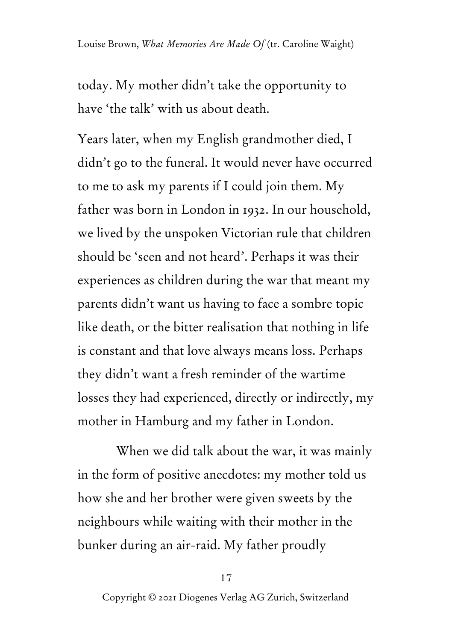today. My mother didn't take the opportunity to have 'the talk' with us about death.

Years later, when my English grandmother died, I didn't go to the funeral. It would never have occurred to me to ask my parents if I could join them. My father was born in London in 1932. In our household, we lived by the unspoken Victorian rule that children should be 'seen and not heard'. Perhaps it was their experiences as children during the war that meant my parents didn't want us having to face a sombre topic like death, or the bitter realisation that nothing in life is constant and that love always means loss. Perhaps they didn't want a fresh reminder of the wartime losses they had experienced, directly or indirectly, my mother in Hamburg and my father in London.

When we did talk about the war, it was mainly in the form of positive anecdotes: my mother told us how she and her brother were given sweets by the neighbours while waiting with their mother in the bunker during an air-raid. My father proudly

#### 17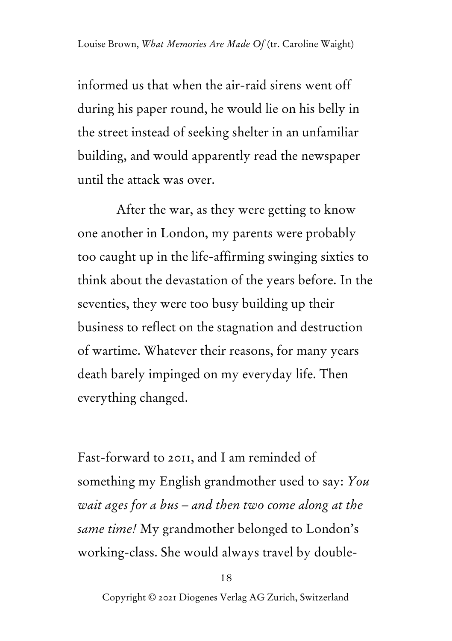informed us that when the air-raid sirens went off during his paper round, he would lie on his belly in the street instead of seeking shelter in an unfamiliar building, and would apparently read the newspaper until the attack was over.

After the war, as they were getting to know one another in London, my parents were probably too caught up in the life-affirming swinging sixties to think about the devastation of the years before. In the seventies, they were too busy building up their business to reflect on the stagnation and destruction of wartime. Whatever their reasons, for many years death barely impinged on my everyday life. Then everything changed.

Fast-forward to 2011, and I am reminded of something my English grandmother used to say: *You wait ages for a bus – and then two come along at the same time!* My grandmother belonged to London's working-class. She would always travel by double-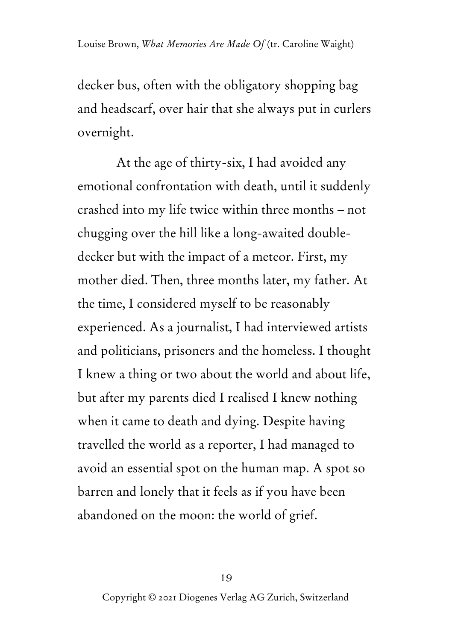decker bus, often with the obligatory shopping bag and headscarf, over hair that she always put in curlers overnight.

At the age of thirty-six, I had avoided any emotional confrontation with death, until it suddenly crashed into my life twice within three months – not chugging over the hill like a long-awaited doubledecker but with the impact of a meteor. First, my mother died. Then, three months later, my father. At the time, I considered myself to be reasonably experienced. As a journalist, I had interviewed artists and politicians, prisoners and the homeless. I thought I knew a thing or two about the world and about life, but after my parents died I realised I knew nothing when it came to death and dying. Despite having travelled the world as a reporter, I had managed to avoid an essential spot on the human map. A spot so barren and lonely that it feels as if you have been abandoned on the moon: the world of grief.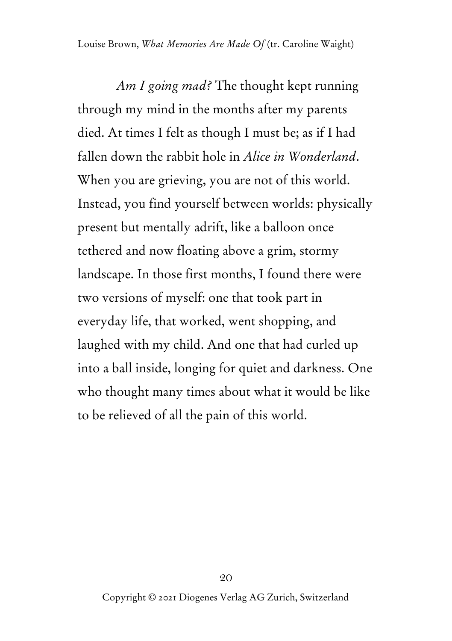*Am I going mad?* The thought kept running through my mind in the months after my parents died. At times I felt as though I must be; as if I had fallen down the rabbit hole in *Alice in Wonderland*. When you are grieving, you are not of this world. Instead, you find yourself between worlds: physically present but mentally adrift, like a balloon once tethered and now floating above a grim, stormy landscape. In those first months, I found there were two versions of myself: one that took part in everyday life, that worked, went shopping, and laughed with my child. And one that had curled up into a ball inside, longing for quiet and darkness. One who thought many times about what it would be like to be relieved of all the pain of this world.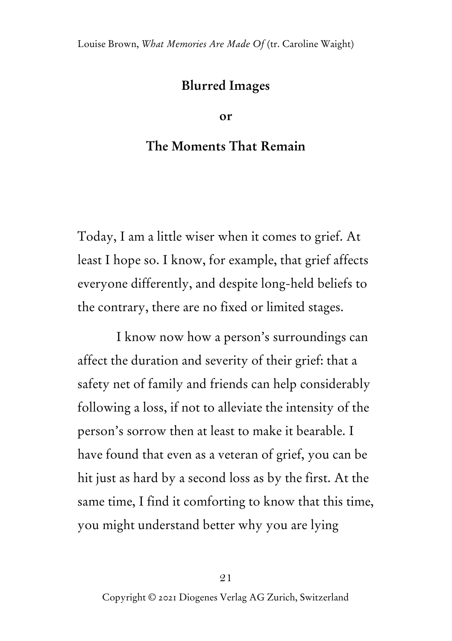## **Blurred Images**

**or**

## **The Moments That Remain**

Today, I am a little wiser when it comes to grief. At least I hope so. I know, for example, that grief affects everyone differently, and despite long-held beliefs to the contrary, there are no fixed or limited stages.

I know now how a person's surroundings can affect the duration and severity of their grief: that a safety net of family and friends can help considerably following a loss, if not to alleviate the intensity of the person's sorrow then at least to make it bearable. I have found that even as a veteran of grief, you can be hit just as hard by a second loss as by the first. At the same time, I find it comforting to know that this time, you might understand better why you are lying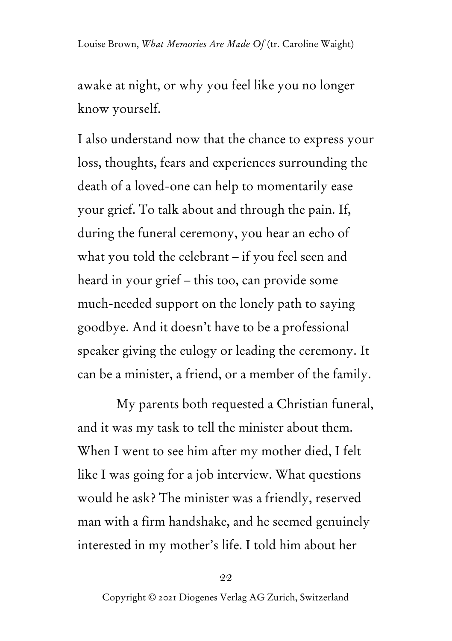awake at night, or why you feel like you no longer know yourself.

I also understand now that the chance to express your loss, thoughts, fears and experiences surrounding the death of a loved-one can help to momentarily ease your grief. To talk about and through the pain. If, during the funeral ceremony, you hear an echo of what you told the celebrant – if you feel seen and heard in your grief – this too, can provide some much-needed support on the lonely path to saying goodbye. And it doesn't have to be a professional speaker giving the eulogy or leading the ceremony. It can be a minister, a friend, or a member of the family.

My parents both requested a Christian funeral, and it was my task to tell the minister about them. When I went to see him after my mother died, I felt like I was going for a job interview. What questions would he ask? The minister was a friendly, reserved man with a firm handshake, and he seemed genuinely interested in my mother's life. I told him about her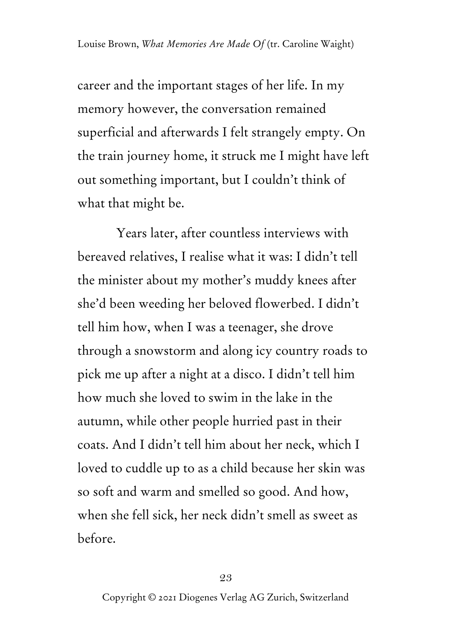career and the important stages of her life. In my memory however, the conversation remained superficial and afterwards I felt strangely empty. On the train journey home, it struck me I might have left out something important, but I couldn't think of what that might be.

Years later, after countless interviews with bereaved relatives, I realise what it was: I didn't tell the minister about my mother's muddy knees after she'd been weeding her beloved flowerbed. I didn't tell him how, when I was a teenager, she drove through a snowstorm and along icy country roads to pick me up after a night at a disco. I didn't tell him how much she loved to swim in the lake in the autumn, while other people hurried past in their coats. And I didn't tell him about her neck, which I loved to cuddle up to as a child because her skin was so soft and warm and smelled so good. And how, when she fell sick, her neck didn't smell as sweet as before.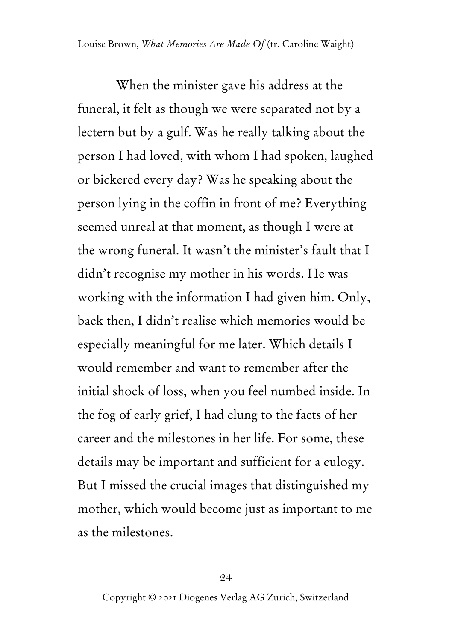When the minister gave his address at the funeral, it felt as though we were separated not by a lectern but by a gulf. Was he really talking about the person I had loved, with whom I had spoken, laughed or bickered every day? Was he speaking about the person lying in the coffin in front of me? Everything seemed unreal at that moment, as though I were at the wrong funeral. It wasn't the minister's fault that I didn't recognise my mother in his words. He was working with the information I had given him. Only, back then, I didn't realise which memories would be especially meaningful for me later. Which details I would remember and want to remember after the initial shock of loss, when you feel numbed inside. In the fog of early grief, I had clung to the facts of her career and the milestones in her life. For some, these details may be important and sufficient for a eulogy. But I missed the crucial images that distinguished my mother, which would become just as important to me as the milestones.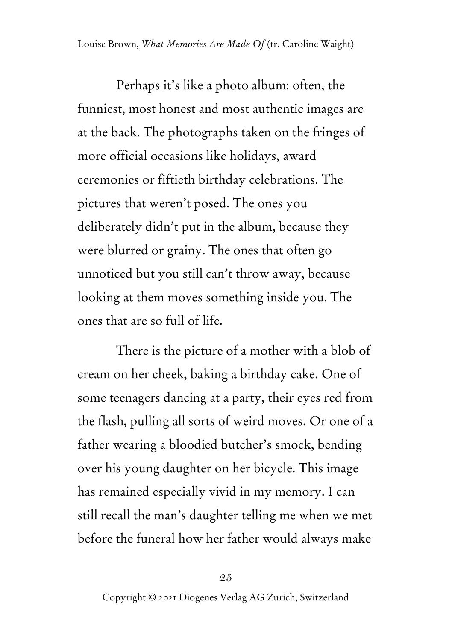Perhaps it's like a photo album: often, the funniest, most honest and most authentic images are at the back. The photographs taken on the fringes of more official occasions like holidays, award ceremonies or fiftieth birthday celebrations. The pictures that weren't posed. The ones you deliberately didn't put in the album, because they were blurred or grainy. The ones that often go unnoticed but you still can't throw away, because looking at them moves something inside you. The ones that are so full of life.

There is the picture of a mother with a blob of cream on her cheek, baking a birthday cake. One of some teenagers dancing at a party, their eyes red from the flash, pulling all sorts of weird moves. Or one of a father wearing a bloodied butcher's smock, bending over his young daughter on her bicycle. This image has remained especially vivid in my memory. I can still recall the man's daughter telling me when we met before the funeral how her father would always make

25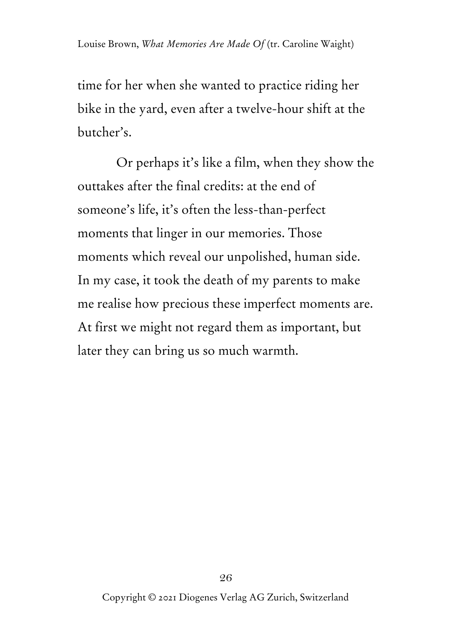time for her when she wanted to practice riding her bike in the yard, even after a twelve-hour shift at the butcher's.

Or perhaps it's like a film, when they show the outtakes after the final credits: at the end of someone's life, it's often the less-than-perfect moments that linger in our memories. Those moments which reveal our unpolished, human side. In my case, it took the death of my parents to make me realise how precious these imperfect moments are. At first we might not regard them as important, but later they can bring us so much warmth.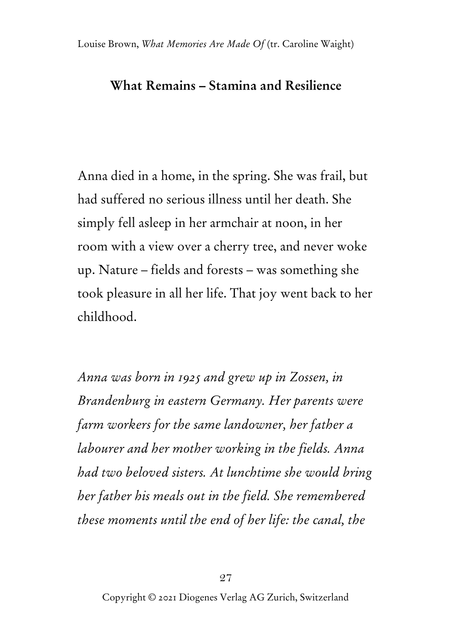## **What Remains – Stamina and Resilience**

Anna died in a home, in the spring. She was frail, but had suffered no serious illness until her death. She simply fell asleep in her armchair at noon, in her room with a view over a cherry tree, and never woke up. Nature – fields and forests – was something she took pleasure in all her life. That joy went back to her childhood.

*Anna was born in 1925 and grew up in Zossen, in Brandenburg in eastern Germany. Her parents were farm workers for the same landowner, her father a labourer and her mother working in the fields. Anna had two beloved sisters. At lunchtime she would bring her father his meals out in the field. She remembered these moments until the end of her life: the canal, the*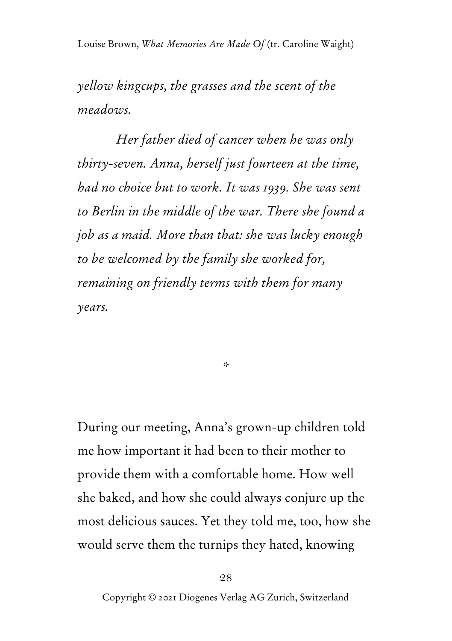*yellow kingcups, the grasses and the scent of the meadows.* 

*Her father died of cancer when he was only thirty-seven. Anna, herself just fourteen at the time, had no choice but to work. It was 1939. She was sent to Berlin in the middle of the war. There she found a job as a maid. More than that: she was lucky enough to be welcomed by the family she worked for, remaining on friendly terms with them for many years.*

*\**

During our meeting, Anna's grown-up children told me how important it had been to their mother to provide them with a comfortable home. How well she baked, and how she could always conjure up the most delicious sauces. Yet they told me, too, how she would serve them the turnips they hated, knowing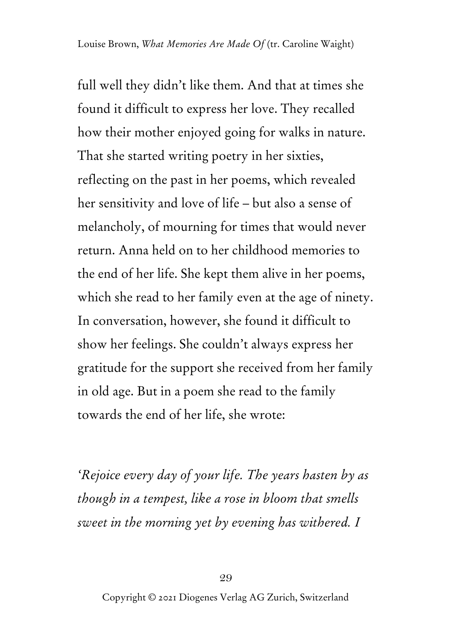full well they didn't like them. And that at times she found it difficult to express her love. They recalled how their mother enjoyed going for walks in nature. That she started writing poetry in her sixties, reflecting on the past in her poems, which revealed her sensitivity and love of life – but also a sense of melancholy, of mourning for times that would never return. Anna held on to her childhood memories to the end of her life. She kept them alive in her poems, which she read to her family even at the age of ninety. In conversation, however, she found it difficult to show her feelings. She couldn't always express her gratitude for the support she received from her family in old age. But in a poem she read to the family towards the end of her life, she wrote:

*'Rejoice every day of your life. The years hasten by as though in a tempest, like a rose in bloom that smells sweet in the morning yet by evening has withered. I*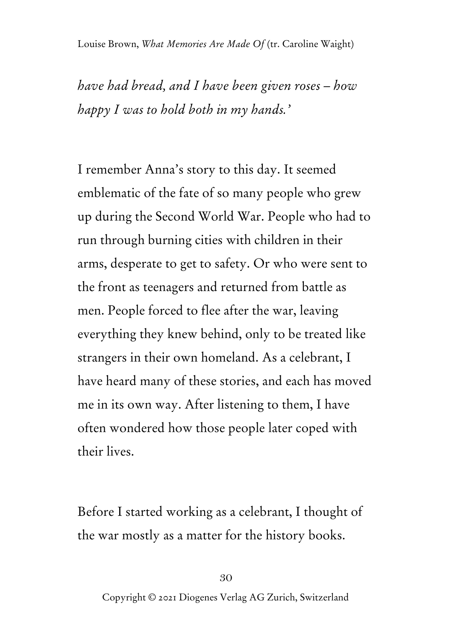*have had bread, and I have been given roses – how happy I was to hold both in my hands.'*

I remember Anna's story to this day. It seemed emblematic of the fate of so many people who grew up during the Second World War. People who had to run through burning cities with children in their arms, desperate to get to safety. Or who were sent to the front as teenagers and returned from battle as men. People forced to flee after the war, leaving everything they knew behind, only to be treated like strangers in their own homeland. As a celebrant, I have heard many of these stories, and each has moved me in its own way. After listening to them, I have often wondered how those people later coped with their lives.

Before I started working as a celebrant, I thought of the war mostly as a matter for the history books.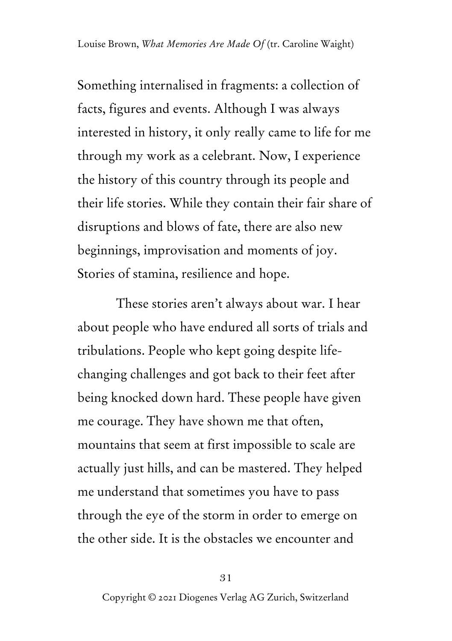Something internalised in fragments: a collection of facts, figures and events. Although I was always interested in history, it only really came to life for me through my work as a celebrant. Now, I experience the history of this country through its people and their life stories. While they contain their fair share of disruptions and blows of fate, there are also new beginnings, improvisation and moments of joy. Stories of stamina, resilience and hope.

These stories aren't always about war. I hear about people who have endured all sorts of trials and tribulations. People who kept going despite lifechanging challenges and got back to their feet after being knocked down hard. These people have given me courage. They have shown me that often, mountains that seem at first impossible to scale are actually just hills, and can be mastered. They helped me understand that sometimes you have to pass through the eye of the storm in order to emerge on the other side. It is the obstacles we encounter and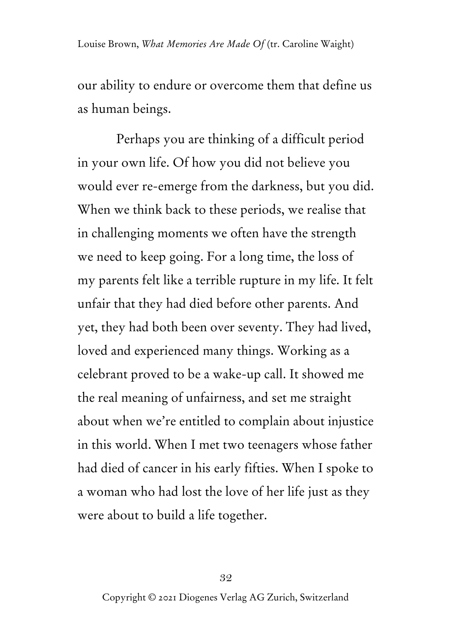our ability to endure or overcome them that define us as human beings.

Perhaps you are thinking of a difficult period in your own life. Of how you did not believe you would ever re-emerge from the darkness, but you did. When we think back to these periods, we realise that in challenging moments we often have the strength we need to keep going. For a long time, the loss of my parents felt like a terrible rupture in my life. It felt unfair that they had died before other parents. And yet, they had both been over seventy. They had lived, loved and experienced many things. Working as a celebrant proved to be a wake-up call. It showed me the real meaning of unfairness, and set me straight about when we're entitled to complain about injustice in this world. When I met two teenagers whose father had died of cancer in his early fifties. When I spoke to a woman who had lost the love of her life just as they were about to build a life together.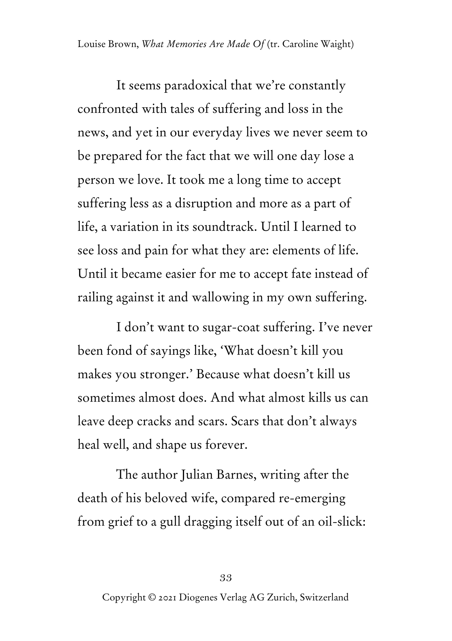It seems paradoxical that we're constantly confronted with tales of suffering and loss in the news, and yet in our everyday lives we never seem to be prepared for the fact that we will one day lose a person we love. It took me a long time to accept suffering less as a disruption and more as a part of life, a variation in its soundtrack. Until I learned to see loss and pain for what they are: elements of life. Until it became easier for me to accept fate instead of railing against it and wallowing in my own suffering.

I don't want to sugar-coat suffering. I've never been fond of sayings like, 'What doesn't kill you makes you stronger.' Because what doesn't kill us sometimes almost does. And what almost kills us can leave deep cracks and scars. Scars that don't always heal well, and shape us forever.

The author Julian Barnes, writing after the death of his beloved wife, compared re-emerging from grief to a gull dragging itself out of an oil-slick: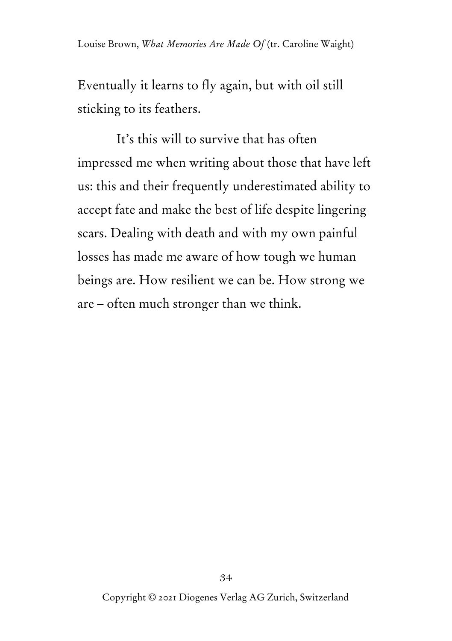Eventually it learns to fly again, but with oil still sticking to its feathers.

It's this will to survive that has often impressed me when writing about those that have left us: this and their frequently underestimated ability to accept fate and make the best of life despite lingering scars. Dealing with death and with my own painful losses has made me aware of how tough we human beings are. How resilient we can be. How strong we are – often much stronger than we think.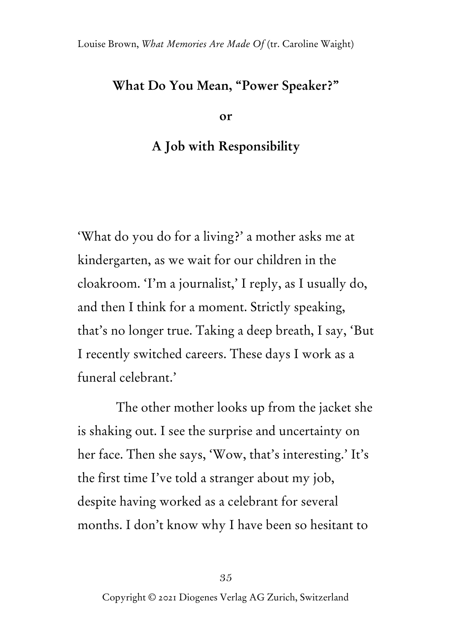## **What Do You Mean, "Power Speaker?"**

**or**

## **A Job with Responsibility**

'What do you do for a living?' a mother asks me at kindergarten, as we wait for our children in the cloakroom. 'I'm a journalist,' I reply, as I usually do, and then I think for a moment. Strictly speaking, that's no longer true. Taking a deep breath, I say, 'But I recently switched careers. These days I work as a funeral celebrant.'

The other mother looks up from the jacket she is shaking out. I see the surprise and uncertainty on her face. Then she says, 'Wow, that's interesting.' It's the first time I've told a stranger about my job, despite having worked as a celebrant for several months. I don't know why I have been so hesitant to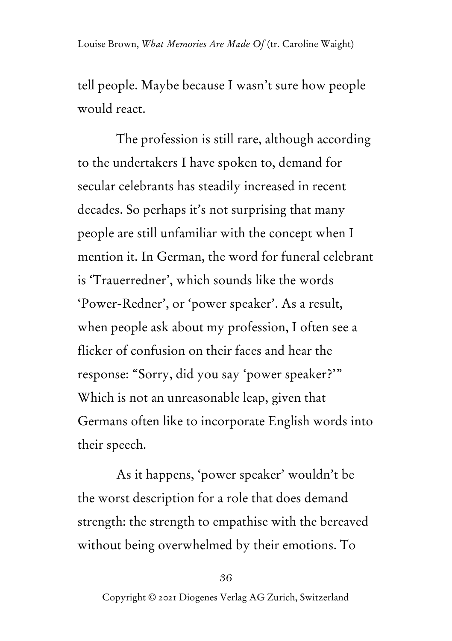tell people. Maybe because I wasn't sure how people would react.

The profession is still rare, although according to the undertakers I have spoken to, demand for secular celebrants has steadily increased in recent decades. So perhaps it's not surprising that many people are still unfamiliar with the concept when I mention it. In German, the word for funeral celebrant is 'Trauerredner', which sounds like the words 'Power-Redner', or 'power speaker'. As a result, when people ask about my profession, I often see a flicker of confusion on their faces and hear the response: "Sorry, did you say 'power speaker?'" Which is not an unreasonable leap, given that Germans often like to incorporate English words into their speech.

As it happens, 'power speaker' wouldn't be the worst description for a role that does demand strength: the strength to empathise with the bereaved without being overwhelmed by their emotions. To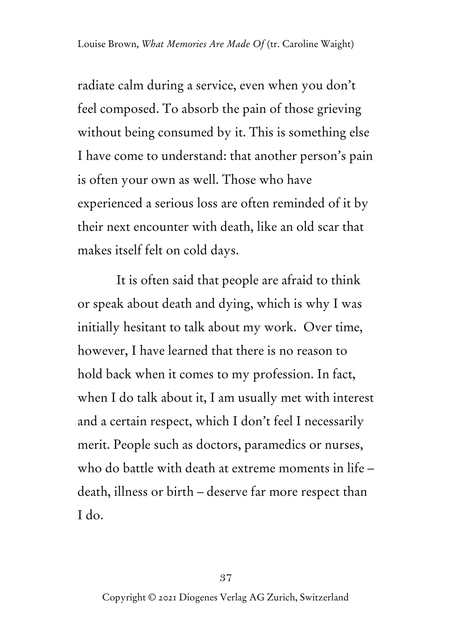radiate calm during a service, even when you don't feel composed. To absorb the pain of those grieving without being consumed by it. This is something else I have come to understand: that another person's pain is often your own as well. Those who have experienced a serious loss are often reminded of it by their next encounter with death, like an old scar that makes itself felt on cold days.

It is often said that people are afraid to think or speak about death and dying, which is why I was initially hesitant to talk about my work. Over time, however, I have learned that there is no reason to hold back when it comes to my profession. In fact, when I do talk about it, I am usually met with interest and a certain respect, which I don't feel I necessarily merit. People such as doctors, paramedics or nurses, who do battle with death at extreme moments in life – death, illness or birth – deserve far more respect than I do.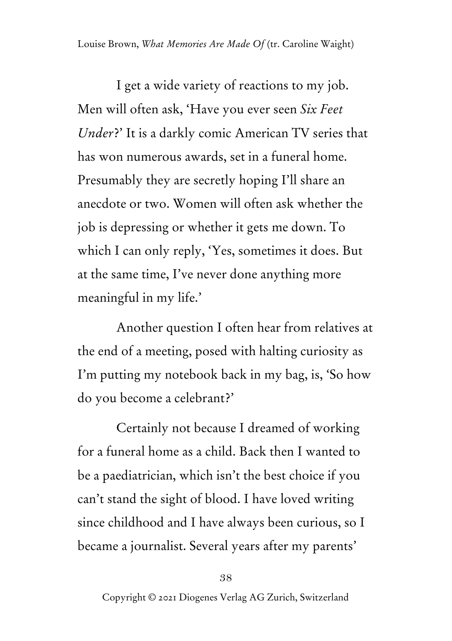I get a wide variety of reactions to my job. Men will often ask, 'Have you ever seen *Six Feet Under*?' It is a darkly comic American TV series that has won numerous awards, set in a funeral home. Presumably they are secretly hoping I'll share an anecdote or two. Women will often ask whether the job is depressing or whether it gets me down. To which I can only reply, 'Yes, sometimes it does. But at the same time, I've never done anything more meaningful in my life.'

Another question I often hear from relatives at the end of a meeting, posed with halting curiosity as I'm putting my notebook back in my bag, is, 'So how do you become a celebrant?'

Certainly not because I dreamed of working for a funeral home as a child. Back then I wanted to be a paediatrician, which isn't the best choice if you can't stand the sight of blood. I have loved writing since childhood and I have always been curious, so I became a journalist. Several years after my parents'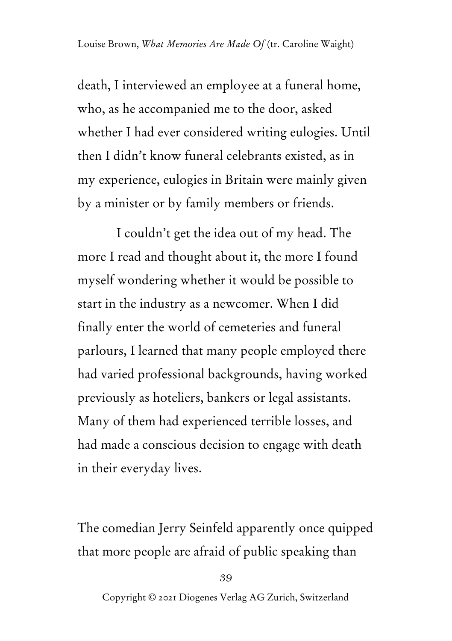death, I interviewed an employee at a funeral home, who, as he accompanied me to the door, asked whether I had ever considered writing eulogies. Until then I didn't know funeral celebrants existed, as in my experience, eulogies in Britain were mainly given by a minister or by family members or friends.

I couldn't get the idea out of my head. The more I read and thought about it, the more I found myself wondering whether it would be possible to start in the industry as a newcomer. When I did finally enter the world of cemeteries and funeral parlours, I learned that many people employed there had varied professional backgrounds, having worked previously as hoteliers, bankers or legal assistants. Many of them had experienced terrible losses, and had made a conscious decision to engage with death in their everyday lives.

The comedian Jerry Seinfeld apparently once quipped that more people are afraid of public speaking than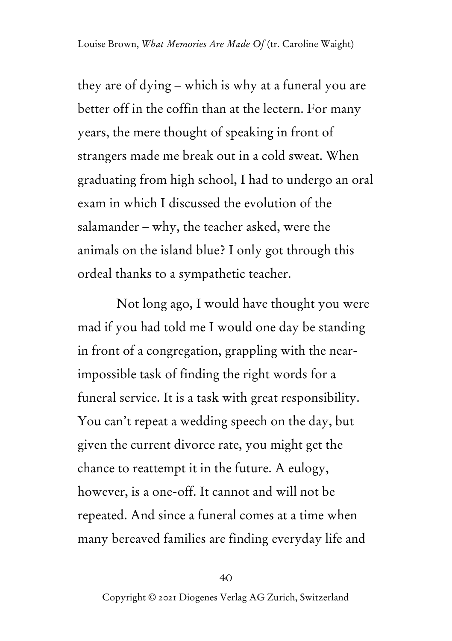they are of dying – which is why at a funeral you are better off in the coffin than at the lectern. For many years, the mere thought of speaking in front of strangers made me break out in a cold sweat. When graduating from high school, I had to undergo an oral exam in which I discussed the evolution of the salamander – why, the teacher asked, were the animals on the island blue? I only got through this ordeal thanks to a sympathetic teacher.

Not long ago, I would have thought you were mad if you had told me I would one day be standing in front of a congregation, grappling with the nearimpossible task of finding the right words for a funeral service. It is a task with great responsibility. You can't repeat a wedding speech on the day, but given the current divorce rate, you might get the chance to reattempt it in the future. A eulogy, however, is a one-off. It cannot and will not be repeated. And since a funeral comes at a time when many bereaved families are finding everyday life and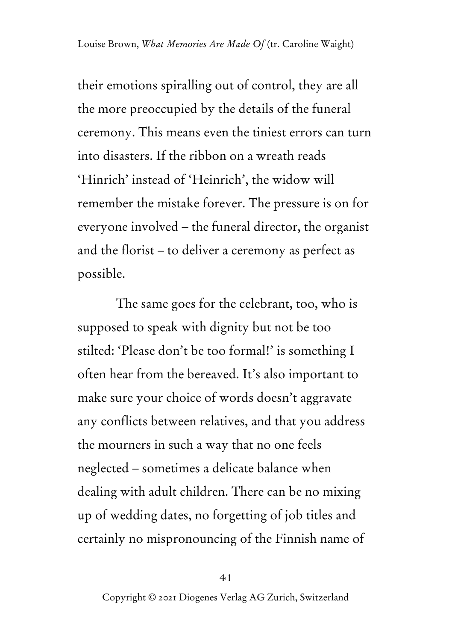their emotions spiralling out of control, they are all the more preoccupied by the details of the funeral ceremony. This means even the tiniest errors can turn into disasters. If the ribbon on a wreath reads 'Hinrich' instead of 'Heinrich', the widow will remember the mistake forever. The pressure is on for everyone involved – the funeral director, the organist and the florist – to deliver a ceremony as perfect as possible.

The same goes for the celebrant, too, who is supposed to speak with dignity but not be too stilted: 'Please don't be too formal!' is something I often hear from the bereaved. It's also important to make sure your choice of words doesn't aggravate any conflicts between relatives, and that you address the mourners in such a way that no one feels neglected – sometimes a delicate balance when dealing with adult children. There can be no mixing up of wedding dates, no forgetting of job titles and certainly no mispronouncing of the Finnish name of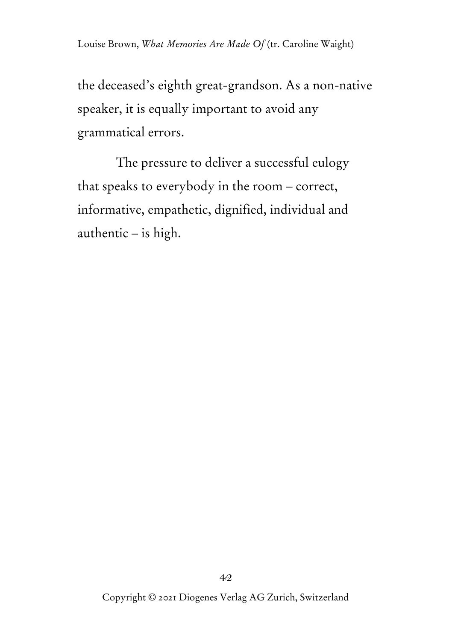the deceased's eighth great-grandson. As a non-native speaker, it is equally important to avoid any grammatical errors.

The pressure to deliver a successful eulogy that speaks to everybody in the room – correct, informative, empathetic, dignified, individual and authentic – is high.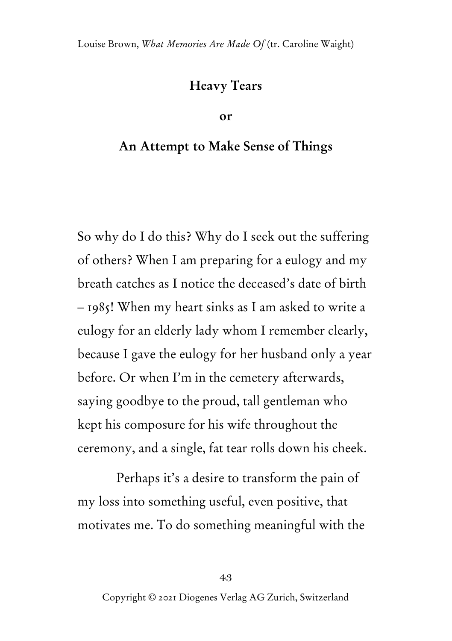## **Heavy Tears**

#### **or**

## **An Attempt to Make Sense of Things**

So why do I do this? Why do I seek out the suffering of others? When I am preparing for a eulogy and my breath catches as I notice the deceased's date of birth – 1985! When my heart sinks as I am asked to write a eulogy for an elderly lady whom I remember clearly, because I gave the eulogy for her husband only a year before. Or when I'm in the cemetery afterwards, saying goodbye to the proud, tall gentleman who kept his composure for his wife throughout the ceremony, and a single, fat tear rolls down his cheek.

Perhaps it's a desire to transform the pain of my loss into something useful, even positive, that motivates me. To do something meaningful with the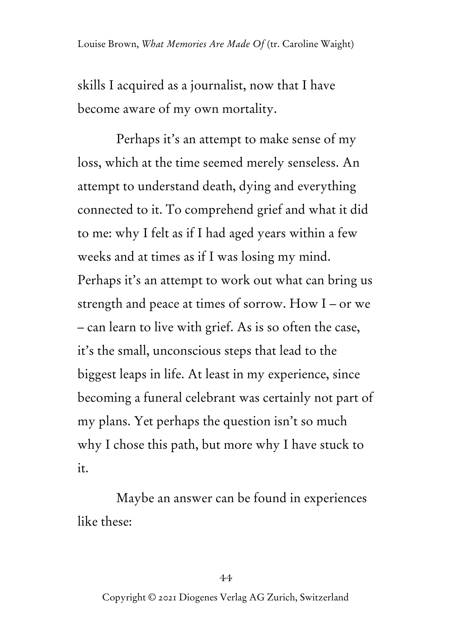skills I acquired as a journalist, now that I have become aware of my own mortality.

Perhaps it's an attempt to make sense of my loss, which at the time seemed merely senseless. An attempt to understand death, dying and everything connected to it. To comprehend grief and what it did to me: why I felt as if I had aged years within a few weeks and at times as if I was losing my mind. Perhaps it's an attempt to work out what can bring us strength and peace at times of sorrow. How I – or we – can learn to live with grief. As is so often the case, it's the small, unconscious steps that lead to the biggest leaps in life. At least in my experience, since becoming a funeral celebrant was certainly not part of my plans. Yet perhaps the question isn't so much why I chose this path, but more why I have stuck to it.

Maybe an answer can be found in experiences like these: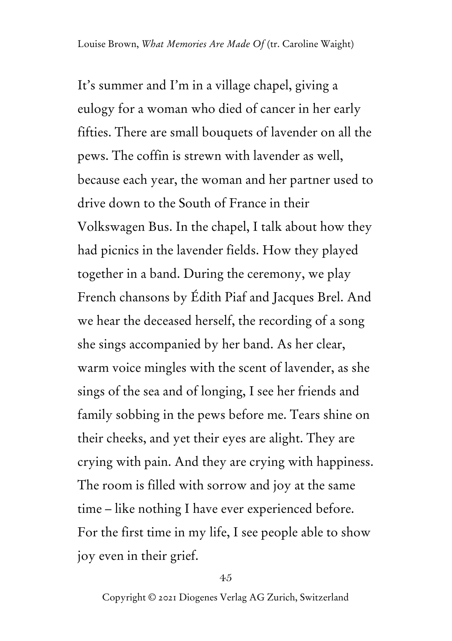It's summer and I'm in a village chapel, giving a eulogy for a woman who died of cancer in her early fifties. There are small bouquets of lavender on all the pews. The coffin is strewn with lavender as well, because each year, the woman and her partner used to drive down to the South of France in their Volkswagen Bus. In the chapel, I talk about how they had picnics in the lavender fields. How they played together in a band. During the ceremony, we play French chansons by Édith Piaf and Jacques Brel. And we hear the deceased herself, the recording of a song she sings accompanied by her band. As her clear, warm voice mingles with the scent of lavender, as she sings of the sea and of longing, I see her friends and family sobbing in the pews before me. Tears shine on their cheeks, and yet their eyes are alight. They are crying with pain. And they are crying with happiness. The room is filled with sorrow and joy at the same time – like nothing I have ever experienced before. For the first time in my life, I see people able to show joy even in their grief.

45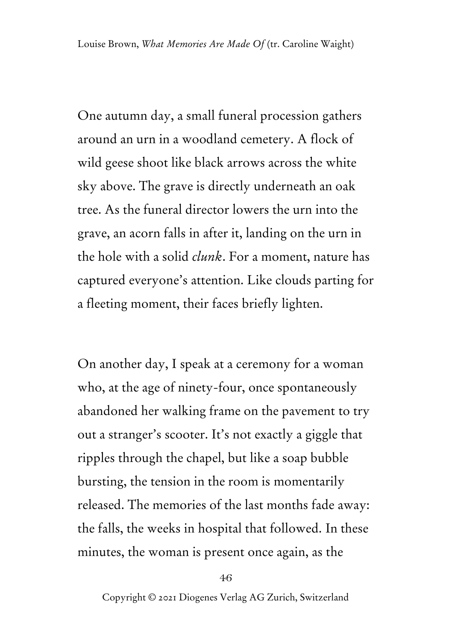One autumn day, a small funeral procession gathers around an urn in a woodland cemetery. A flock of wild geese shoot like black arrows across the white sky above. The grave is directly underneath an oak tree. As the funeral director lowers the urn into the grave, an acorn falls in after it, landing on the urn in the hole with a solid *clunk*. For a moment, nature has captured everyone's attention. Like clouds parting for a fleeting moment, their faces briefly lighten.

On another day, I speak at a ceremony for a woman who, at the age of ninety-four, once spontaneously abandoned her walking frame on the pavement to try out a stranger's scooter. It's not exactly a giggle that ripples through the chapel, but like a soap bubble bursting, the tension in the room is momentarily released. The memories of the last months fade away: the falls, the weeks in hospital that followed. In these minutes, the woman is present once again, as the